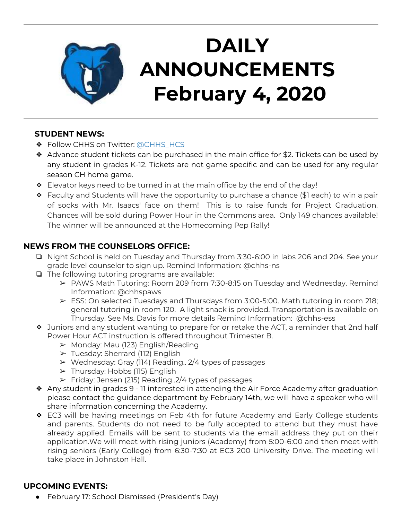

# **DAILY ANNOUNCEMENTS February 4, 2020**

#### **STUDENT NEWS:**

- ◆ Follow CHHS on Twitter: [@CHHS\\_HCS](https://twitter.com/CHHS_HCS)
- ❖ Advance student tickets can be purchased in the main office for \$2. Tickets can be used by any student in grades K-12. Tickets are not game specific and can be used for any regular season CH home game.
- ❖ Elevator keys need to be turned in at the main office by the end of the day!
- ❖ Faculty and Students will have the opportunity to purchase a chance (\$1 each) to win a pair of socks with Mr. Isaacs' face on them! This is to raise funds for Project Graduation. Chances will be sold during Power Hour in the Commons area. Only 149 chances available! The winner will be announced at the Homecoming Pep Rally!

### **NEWS FROM THE COUNSELORS OFFICE:**

- ❏ Night School is held on Tuesday and Thursday from 3:30-6:00 in labs 206 and 204. See your grade level counselor to sign up. Remind Information: @chhs-ns
- ❏ The following tutoring programs are available:
	- ➢ PAWS Math Tutoring: Room 209 from 7:30-8:15 on Tuesday and Wednesday. Remind Information: @chhspaws
	- $\triangleright$  ESS: On selected Tuesdays and Thursdays from 3:00-5:00. Math tutoring in room 218; general tutoring in room 120. A light snack is provided. Transportation is available on Thursday. See Ms. Davis for more details Remind Information: @chhs-ess
- ❖ Juniors and any student wanting to prepare for or retake the ACT, a reminder that 2nd half Power Hour ACT instruction is offered throughout Trimester B.
	- ➢ Monday: Mau (123) English/Reading
	- ➢ Tuesday: Sherrard (112) English
	- $\triangleright$  Wednesday: Gray (114) Reading.. 2/4 types of passages
	- $\triangleright$  Thursday: Hobbs (115) English
	- $\triangleright$  Friday: Jensen (215) Reading. 2/4 types of passages
- ❖ Any student in grades 9 11 interested in attending the Air Force Academy after graduation please contact the guidance department by February 14th, we will have a speaker who will share information concerning the Academy.
- ❖ EC3 will be having meetings on Feb 4th for future Academy and Early College students and parents. Students do not need to be fully accepted to attend but they must have already applied. Emails will be sent to students via the email address they put on their application.We will meet with rising juniors (Academy) from 5:00-6:00 and then meet with rising seniors (Early College) from 6:30-7:30 at EC3 200 University Drive. The meeting will take place in Johnston Hall.

### **UPCOMING EVENTS:**

● February 17: School Dismissed (President's Day)